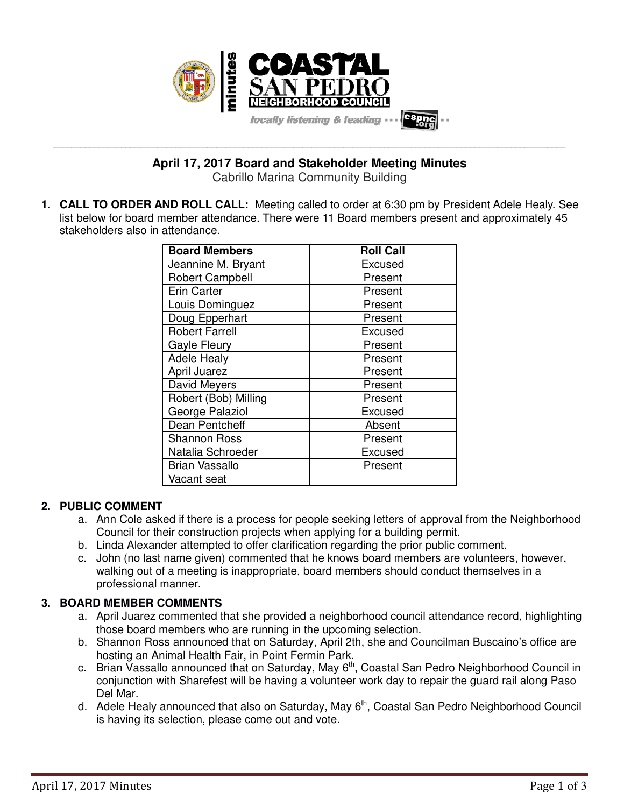

**\_\_\_\_\_\_\_\_\_\_\_\_\_\_\_\_\_\_\_\_\_\_\_\_\_\_\_\_\_\_\_\_\_\_\_\_\_\_\_\_\_\_\_\_\_\_\_\_\_\_\_\_\_\_\_\_\_\_\_\_\_\_\_\_\_\_\_\_\_\_\_\_\_\_\_\_\_\_\_\_\_\_\_\_\_\_\_\_\_\_\_\_\_\_\_\_\_\_\_\_\_\_\_\_\_\_\_\_\_\_\_\_\_ April 17, 2017 Board and Stakeholder Meeting Minutes**

Cabrillo Marina Community Building

**1. CALL TO ORDER AND ROLL CALL:** Meeting called to order at 6:30 pm by President Adele Healy. See list below for board member attendance. There were 11 Board members present and approximately 45 stakeholders also in attendance.

| <b>Board Members</b>   | <b>Roll Call</b> |
|------------------------|------------------|
| Jeannine M. Bryant     | Excused          |
| <b>Robert Campbell</b> | Present          |
| <b>Erin Carter</b>     | Present          |
| Louis Dominguez        | Present          |
| Doug Epperhart         | Present          |
| <b>Robert Farrell</b>  | Excused          |
| <b>Gayle Fleury</b>    | Present          |
| <b>Adele Healy</b>     | Present          |
| April Juarez           | Present          |
| David Meyers           | Present          |
| Robert (Bob) Milling   | Present          |
| George Palaziol        | Excused          |
| Dean Pentcheff         | Absent           |
| <b>Shannon Ross</b>    | Present          |
| Natalia Schroeder      | Excused          |
| <b>Brian Vassallo</b>  | Present          |
| Vacant seat            |                  |

## **2. PUBLIC COMMENT**

- a. Ann Cole asked if there is a process for people seeking letters of approval from the Neighborhood Council for their construction projects when applying for a building permit.
- b. Linda Alexander attempted to offer clarification regarding the prior public comment.
- c. John (no last name given) commented that he knows board members are volunteers, however, walking out of a meeting is inappropriate, board members should conduct themselves in a professional manner.

# **3. BOARD MEMBER COMMENTS**

- a. April Juarez commented that she provided a neighborhood council attendance record, highlighting those board members who are running in the upcoming selection.
- b. Shannon Ross announced that on Saturday, April 2th, she and Councilman Buscaino's office are hosting an Animal Health Fair, in Point Fermin Park.
- c. Brian Vassallo announced that on Saturday, May 6<sup>th</sup>, Coastal San Pedro Neighborhood Council in conjunction with Sharefest will be having a volunteer work day to repair the guard rail along Paso Del Mar.
- d. Adele Healy announced that also on Saturday, May 6<sup>th</sup>, Coastal San Pedro Neighborhood Council is having its selection, please come out and vote.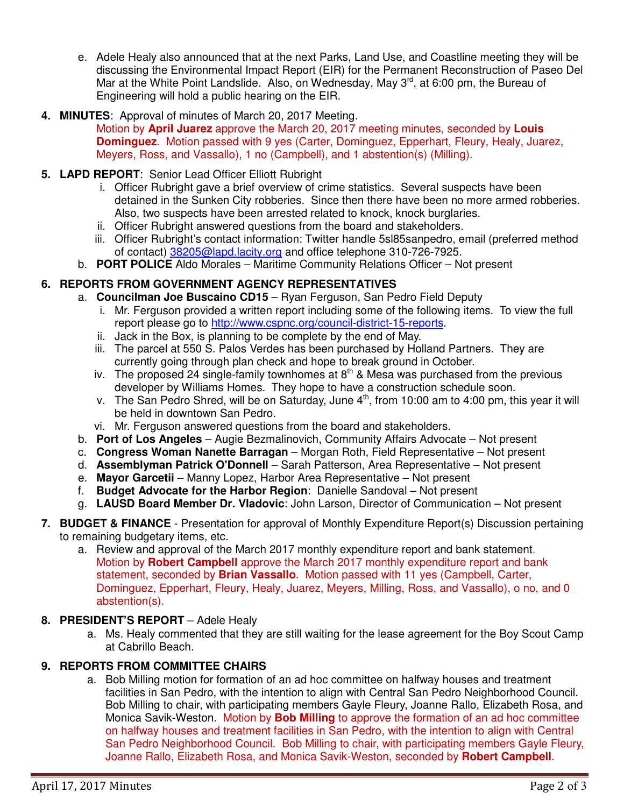- e. Adele Healy also announced that at the next Parks, Land Use, and Coastline meeting they will be discussing the Environmental Impact Report (EIR) for the Permanent Reconstruction of Paseo Del Mar at the White Point Landslide. Also, on Wednesday, May  $3^{rd}$ , at 6:00 pm, the Bureau of Engineering will hold a public hearing on the EIR.
- **4. MINUTES**: Approval of minutes of March 20, 2017 Meeting. Motion by **April Juarez** approve the March 20, 2017 meeting minutes, seconded by **Louis Dominguez**. Motion passed with 9 yes (Carter, Dominguez, Epperhart, Fleury, Healy, Juarez, Meyers, Ross, and Vassallo), 1 no (Campbell), and 1 abstention(s) (Milling).

## **5. LAPD REPORT**: Senior Lead Officer Elliott Rubright

- i. Officer Rubright gave a brief overview of crime statistics. Several suspects have been detained in the Sunken City robberies. Since then there have been no more armed robberies. Also, two suspects have been arrested related to knock, knock burglaries.
- ii. Officer Rubright answered questions from the board and stakeholders.
- iii. Officer Rubright's contact information: Twitter handle 5sl85sanpedro, email (preferred method of contact) 38205@lapd.lacity.org and office telephone 310-726-7925.
- b. **PORT POLICE** Aldo Morales Maritime Community Relations Officer Not present

## **6. REPORTS FROM GOVERNMENT AGENCY REPRESENTATIVES**

- a. **Councilman Joe Buscaino CD15** Ryan Ferguson, San Pedro Field Deputy
	- i. Mr. Ferguson provided a written report including some of the following items. To view the full report please go to http://www.cspnc.org/council-district-15-reports.
	- ii. Jack in the Box, is planning to be complete by the end of May.
	- iii. The parcel at 550 S. Palos Verdes has been purchased by Holland Partners. They are currently going through plan check and hope to break ground in October.
	- iv. The proposed 24 single-family townhomes at  $8<sup>th</sup>$  & Mesa was purchased from the previous developer by Williams Homes. They hope to have a construction schedule soon.
	- v. The San Pedro Shred, will be on Saturday, June 4<sup>th</sup>, from 10:00 am to 4:00 pm, this year it will be held in downtown San Pedro.
	- vi. Mr. Ferguson answered questions from the board and stakeholders.
- b. **Port of Los Angeles** Augie Bezmalinovich, Community Affairs Advocate Not present
- c. **Congress Woman Nanette Barragan** Morgan Roth, Field Representative Not present
- d. **Assemblyman Patrick O'Donnell** Sarah Patterson, Area Representative Not present
- e. **Mayor Garcetii** Manny Lopez, Harbor Area Representative Not present
- f. **Budget Advocate for the Harbor Region**: Danielle Sandoval Not present
- g. **LAUSD Board Member Dr. Vladovic**: John Larson, Director of Communication Not present
- **7. BUDGET & FINANCE** Presentation for approval of Monthly Expenditure Report(s) Discussion pertaining to remaining budgetary items, etc.
	- a. Review and approval of the March 2017 monthly expenditure report and bank statement. Motion by **Robert Campbell** approve the March 2017 monthly expenditure report and bank statement, seconded by **Brian Vassallo**. Motion passed with 11 yes (Campbell, Carter, Dominguez, Epperhart, Fleury, Healy, Juarez, Meyers, Milling, Ross, and Vassallo), o no, and 0 abstention(s).

## **8. PRESIDENT'S REPORT** – Adele Healy

a. Ms. Healy commented that they are still waiting for the lease agreement for the Boy Scout Camp at Cabrillo Beach.

## **9. REPORTS FROM COMMITTEE CHAIRS**

a. Bob Milling motion for formation of an ad hoc committee on halfway houses and treatment facilities in San Pedro, with the intention to align with Central San Pedro Neighborhood Council. Bob Milling to chair, with participating members Gayle Fleury, Joanne Rallo, Elizabeth Rosa, and Monica Savik-Weston. Motion by **Bob Milling** to approve the formation of an ad hoc committee on halfway houses and treatment facilities in San Pedro, with the intention to align with Central San Pedro Neighborhood Council. Bob Milling to chair, with participating members Gayle Fleury, Joanne Rallo, Elizabeth Rosa, and Monica Savik-Weston, seconded by **Robert Campbell**.